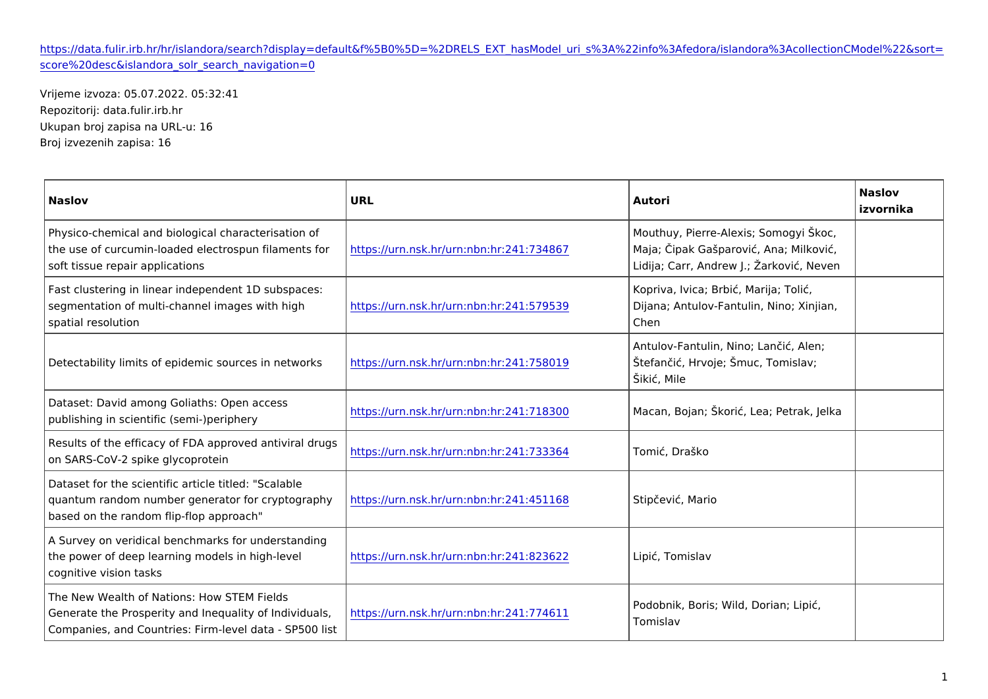## [https://data.fulir.irb.hr/hr/islandora/search?display=default&f%5B0%5D=%2DRELS\\_EXT\\_hasModel\\_uri\\_s%3A%22info%3Af](https://data.fulir.irb.hr/hr/islandora/search?display=default&f[0]=-RELS_EXT_hasModel_uri_s:"info:fedora/islandora:collectionCModel"&sort=score desc&islandora_solr_search_navigation=0)edora [score%20desc&islandora\\_solr\\_search](https://data.fulir.irb.hr/hr/islandora/search?display=default&f[0]=-RELS_EXT_hasModel_uri_s:"info:fedora/islandora:collectionCModel"&sort=score desc&islandora_solr_search_navigation=0)\_navigation=0

Vrijeme izvoza: 05.07.2022. 05:32:41 Repozitorij: data.fulir.irb.hr Ukupan broj zapisa na URL-u: 16 Broj izvezenih zapisa: 16

| Naslov                                                                                                                                                                                                                                           | URL                                                                                    | Autori                                                                           | Naslov<br>izvornika |
|--------------------------------------------------------------------------------------------------------------------------------------------------------------------------------------------------------------------------------------------------|----------------------------------------------------------------------------------------|----------------------------------------------------------------------------------|---------------------|
| Physico-chemical and biological characterisation of<br>the use of curcumin-loaded electrospun <mark>  hittapmse/n/tusnf.onrsk.hr/urn:nbn:hr:</mark> 241:734  <b>8\6a7ja; ipak Gaaparovi , Ana;</b>  Milkovi ,<br>soft tissue repair applications |                                                                                        | Mouthuy, Pierre-Alexis; Somogyi `koc,<br>Lidija; Carr, Andrew J.; }arkovi, Neven |                     |
| Fast clustering in linear independent 1D subspaces:<br>segmentation of multi-channel images w inthtphag/hurn.nsk.hr/urn:nbn:hr:241:579{D3i9ana; Antulov-Fantulin, Ninþ; Xinjian,<br>spatial resolution                                           |                                                                                        | Kopriva, Ivica; Brbi, Marija; Toli,<br>Chen                                      |                     |
| Detectability limits of epidemic sources hintpnæ:t/www.mssk.hr/urn:nbn:hr:241:75801@fan i , Hrvoje; `muc, Tomislav;                                                                                                                              |                                                                                        | Antulov-Fantulin, Nino; Lan i, Alen;<br>`iki, Mile                               |                     |
| Dataset: David among Goliaths: Open access<br>publishing in scientific (semi-)periphery                                                                                                                                                          | ,<br>https://urn.nsk.hr/urn:nbn:hr:241:718 3M&Ocan, Bojan; `kori , Lea; Pe¦trak, Jelka |                                                                                  |                     |
| Results of the efficacy of FDA approved antiviral drugs<br>https://urn.nsk.hr/urn.nbn.hr/241:733 3T604mi, Draako<br>on SARS-CoV-2 spike glycoprotein                                                                                             |                                                                                        |                                                                                  |                     |
| Dataset for the scientific article titled:   "Scalable<br>quantum random number generator for drhytplosogr auprhynsk.hr/urn:nbn:hr:241:451 1S6t&p evi, Mario<br>based on the random flip-flop approach                                           |                                                                                        |                                                                                  |                     |
| A Survey on veridical benchmarks for understanding<br>the power of deep learning models in h  <u>ghtŧþѥvé/lurn.nsk.hr/urn:nbn:hr:</u> 241:823 <mark>d2</mark> βi , Tomislav<br>cognitive vision tasks                                            |                                                                                        |                                                                                  |                     |
| The New Wealth of Nations: How STEM Fields<br>Generate the Prosperity and Inequality of the muslin intervals her urn: nbn: hr: 241: 774<br>Companies, and Countries: Firm-level data - SP500 list                                                |                                                                                        | Podobnik, Boris; Wild, Dorian; Lipi,<br>Tomislav                                 |                     |